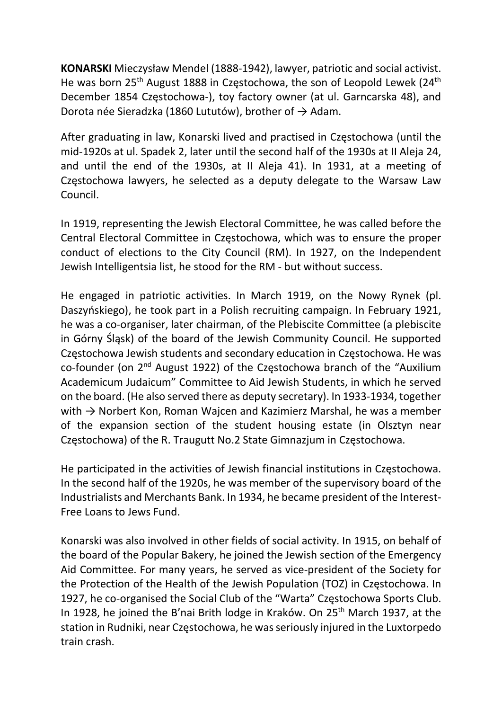KONARSKI Mieczysław Mendel (1888-1942), lawyer, patriotic and social activist. He was born 25<sup>th</sup> August 1888 in Częstochowa, the son of Leopold Lewek (24<sup>th</sup>) December 1854 Częstochowa-), toy factory owner (at ul. Garncarska 48), and Dorota née Sieradzka (1860 Lututów), brother of  $\rightarrow$  Adam.

After graduating in law, Konarski lived and practised in Częstochowa (until the mid-1920s at ul. Spadek 2, later until the second half of the 1930s at II Aleja 24, and until the end of the 1930s, at II Aleja 41). In 1931, at a meeting of Częstochowa lawyers, he selected as a deputy delegate to the Warsaw Law Council.

In 1919, representing the Jewish Electoral Committee, he was called before the Central Electoral Committee in Częstochowa, which was to ensure the proper conduct of elections to the City Council (RM). In 1927, on the Independent Jewish Intelligentsia list, he stood for the RM - but without success.

He engaged in patriotic activities. In March 1919, on the Nowy Rynek (pl. Daszyńskiego), he took part in a Polish recruiting campaign. In February 1921, he was a co-organiser, later chairman, of the Plebiscite Committee (a plebiscite in Górny Śląsk) of the board of the Jewish Community Council. He supported Częstochowa Jewish students and secondary education in Częstochowa. He was co-founder (on 2nd August 1922) of the Częstochowa branch of the "Auxilium Academicum Judaicum" Committee to Aid Jewish Students, in which he served on the board. (He also served there as deputy secretary). In 1933-1934, together with  $\rightarrow$  Norbert Kon, Roman Wajcen and Kazimierz Marshal, he was a member of the expansion section of the student housing estate (in Olsztyn near Częstochowa) of the R. Traugutt No.2 State Gimnazjum in Częstochowa.

He participated in the activities of Jewish financial institutions in Częstochowa. In the second half of the 1920s, he was member of the supervisory board of the Industrialists and Merchants Bank. In 1934, he became president of the Interest-Free Loans to Jews Fund.

Konarski was also involved in other fields of social activity. In 1915, on behalf of the board of the Popular Bakery, he joined the Jewish section of the Emergency Aid Committee. For many years, he served as vice-president of the Society for the Protection of the Health of the Jewish Population (TOZ) in Częstochowa. In 1927, he co-organised the Social Club of the "Warta" Częstochowa Sports Club. In 1928, he joined the B'nai Brith lodge in Kraków. On 25<sup>th</sup> March 1937, at the station in Rudniki, near Częstochowa, he was seriously injured in the Luxtorpedo train crash.